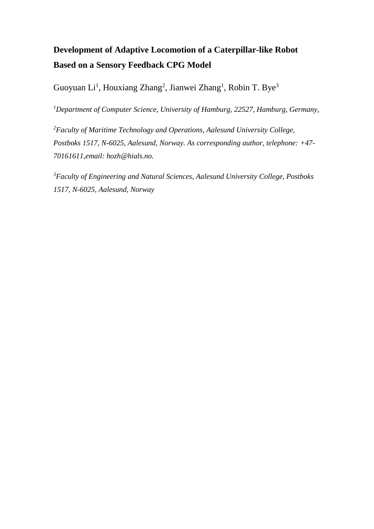# **Development of Adaptive Locomotion of a Caterpillar-like Robot Based on a Sensory Feedback CPG Model**

Guoyuan Li<sup>1</sup>, Houxiang Zhang<sup>2</sup>, Jianwei Zhang<sup>1</sup>, Robin T. Bye<sup>3</sup>

*<sup>1</sup>Department of Computer Science, University of Hamburg, 22527, Hamburg, Germany,*

*<sup>2</sup>Faculty of Maritime Technology and Operations, Aalesund University College, Postboks 1517, N-6025, Aalesund, Norway. As corresponding author, telephone: +47- 70161611,email: hozh@hials.no.*

*<sup>3</sup>Faculty of Engineering and Natural Sciences, Aalesund University College, Postboks 1517, N-6025, Aalesund, Norway*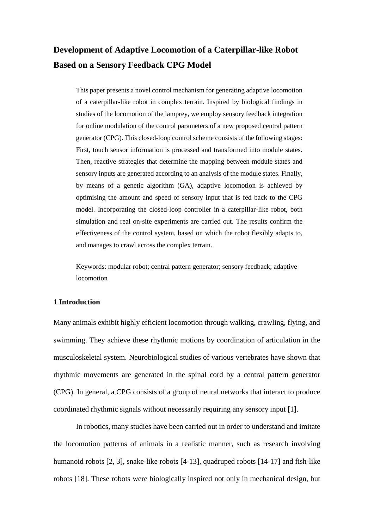## **Development of Adaptive Locomotion of a Caterpillar-like Robot Based on a Sensory Feedback CPG Model**

This paper presents a novel control mechanism for generating adaptive locomotion of a caterpillar-like robot in complex terrain. Inspired by biological findings in studies of the locomotion of the lamprey, we employ sensory feedback integration for online modulation of the control parameters of a new proposed central pattern generator (CPG). This closed-loop control scheme consists of the following stages: First, touch sensor information is processed and transformed into module states. Then, reactive strategies that determine the mapping between module states and sensory inputs are generated according to an analysis of the module states. Finally, by means of a genetic algorithm (GA), adaptive locomotion is achieved by optimising the amount and speed of sensory input that is fed back to the CPG model. Incorporating the closed-loop controller in a caterpillar-like robot, both simulation and real on-site experiments are carried out. The results confirm the effectiveness of the control system, based on which the robot flexibly adapts to, and manages to crawl across the complex terrain.

Keywords: modular robot; central pattern generator; sensory feedback; adaptive locomotion

## **1 Introduction**

Many animals exhibit highly efficient locomotion through walking, crawling, flying, and swimming. They achieve these rhythmic motions by coordination of articulation in the musculoskeletal system. Neurobiological studies of various vertebrates have shown that rhythmic movements are generated in the spinal cord by a central pattern generator (CPG). In general, a CPG consists of a group of neural networks that interact to produce coordinated rhythmic signals without necessarily requiring any sensory input [1].

In robotics, many studies have been carried out in order to understand and imitate the locomotion patterns of animals in a realistic manner, such as research involving humanoid robots [2, 3], snake-like robots [4-13], quadruped robots [14-17] and fish-like robots [18]. These robots were biologically inspired not only in mechanical design, but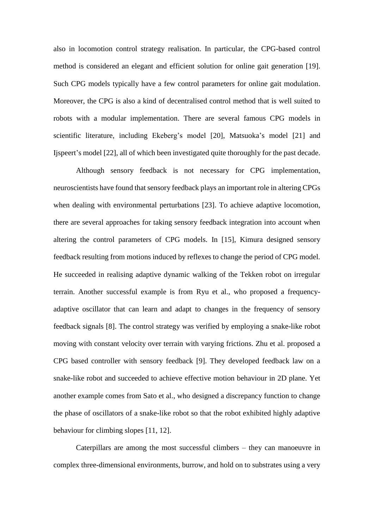also in locomotion control strategy realisation. In particular, the CPG-based control method is considered an elegant and efficient solution for online gait generation [19]. Such CPG models typically have a few control parameters for online gait modulation. Moreover, the CPG is also a kind of decentralised control method that is well suited to robots with a modular implementation. There are several famous CPG models in scientific literature, including Ekeberg's model [20], Matsuoka's model [21] and Ijspeert's model [22], all of which been investigated quite thoroughly for the past decade.

Although sensory feedback is not necessary for CPG implementation, neuroscientists have found that sensory feedback plays an important role in altering CPGs when dealing with environmental perturbations [23]. To achieve adaptive locomotion, there are several approaches for taking sensory feedback integration into account when altering the control parameters of CPG models. In [15], Kimura designed sensory feedback resulting from motions induced by reflexes to change the period of CPG model. He succeeded in realising adaptive dynamic walking of the Tekken robot on irregular terrain. Another successful example is from Ryu et al., who proposed a frequencyadaptive oscillator that can learn and adapt to changes in the frequency of sensory feedback signals [8]. The control strategy was verified by employing a snake-like robot moving with constant velocity over terrain with varying frictions. Zhu et al. proposed a CPG based controller with sensory feedback [9]. They developed feedback law on a snake-like robot and succeeded to achieve effective motion behaviour in 2D plane. Yet another example comes from Sato et al., who designed a discrepancy function to change the phase of oscillators of a snake-like robot so that the robot exhibited highly adaptive behaviour for climbing slopes [11, 12].

Caterpillars are among the most successful climbers – they can manoeuvre in complex three-dimensional environments, burrow, and hold on to substrates using a very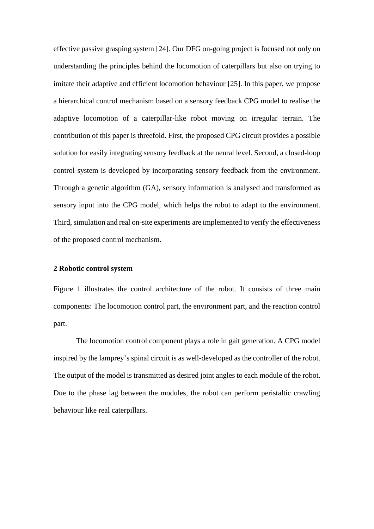effective passive grasping system [24]. Our DFG on-going project is focused not only on understanding the principles behind the locomotion of caterpillars but also on trying to imitate their adaptive and efficient locomotion behaviour [25]. In this paper, we propose a hierarchical control mechanism based on a sensory feedback CPG model to realise the adaptive locomotion of a caterpillar-like robot moving on irregular terrain. The contribution of this paper is threefold. First, the proposed CPG circuit provides a possible solution for easily integrating sensory feedback at the neural level. Second, a closed-loop control system is developed by incorporating sensory feedback from the environment. Through a genetic algorithm (GA), sensory information is analysed and transformed as sensory input into the CPG model, which helps the robot to adapt to the environment. Third, simulation and real on-site experiments are implemented to verify the effectiveness of the proposed control mechanism.

## **2 Robotic control system**

Figure 1 illustrates the control architecture of the robot. It consists of three main components: The locomotion control part, the environment part, and the reaction control part.

The locomotion control component plays a role in gait generation. A CPG model inspired by the lamprey's spinal circuit is as well-developed as the controller of the robot. The output of the model is transmitted as desired joint angles to each module of the robot. Due to the phase lag between the modules, the robot can perform peristaltic crawling behaviour like real caterpillars.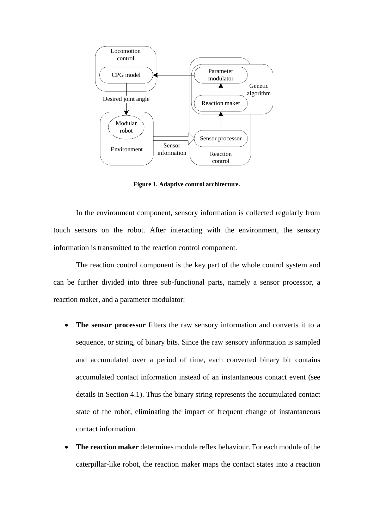

**Figure 1. Adaptive control architecture.**

In the environment component, sensory information is collected regularly from touch sensors on the robot. After interacting with the environment, the sensory information is transmitted to the reaction control component.

The reaction control component is the key part of the whole control system and can be further divided into three sub-functional parts, namely a sensor processor, a reaction maker, and a parameter modulator:

- **The sensor processor** filters the raw sensory information and converts it to a sequence, or string, of binary bits. Since the raw sensory information is sampled and accumulated over a period of time, each converted binary bit contains accumulated contact information instead of an instantaneous contact event (see details in Section 4.1). Thus the binary string represents the accumulated contact state of the robot, eliminating the impact of frequent change of instantaneous contact information.
- **The reaction maker** determines module reflex behaviour. For each module of the caterpillar-like robot, the reaction maker maps the contact states into a reaction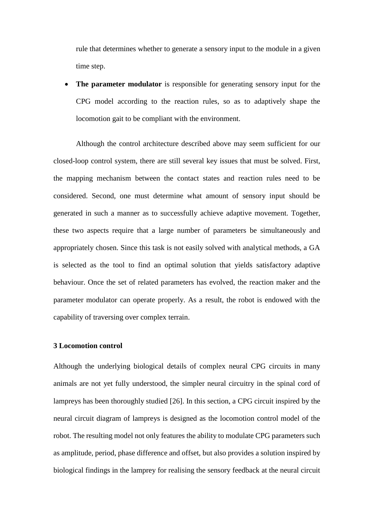rule that determines whether to generate a sensory input to the module in a given time step.

 **The parameter modulator** is responsible for generating sensory input for the CPG model according to the reaction rules, so as to adaptively shape the locomotion gait to be compliant with the environment.

Although the control architecture described above may seem sufficient for our closed-loop control system, there are still several key issues that must be solved. First, the mapping mechanism between the contact states and reaction rules need to be considered. Second, one must determine what amount of sensory input should be generated in such a manner as to successfully achieve adaptive movement. Together, these two aspects require that a large number of parameters be simultaneously and appropriately chosen. Since this task is not easily solved with analytical methods, a GA is selected as the tool to find an optimal solution that yields satisfactory adaptive behaviour. Once the set of related parameters has evolved, the reaction maker and the parameter modulator can operate properly. As a result, the robot is endowed with the capability of traversing over complex terrain.

#### **3 Locomotion control**

Although the underlying biological details of complex neural CPG circuits in many animals are not yet fully understood, the simpler neural circuitry in the spinal cord of lampreys has been thoroughly studied [26]. In this section, a CPG circuit inspired by the neural circuit diagram of lampreys is designed as the locomotion control model of the robot. The resulting model not only features the ability to modulate CPG parameters such as amplitude, period, phase difference and offset, but also provides a solution inspired by biological findings in the lamprey for realising the sensory feedback at the neural circuit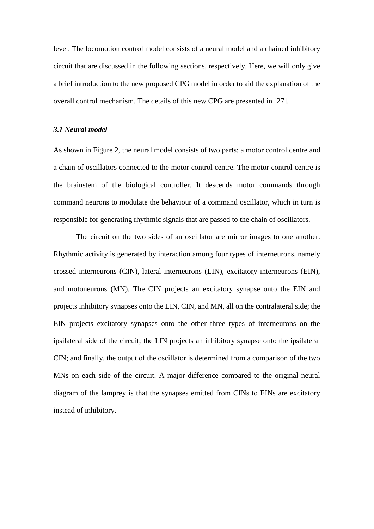level. The locomotion control model consists of a neural model and a chained inhibitory circuit that are discussed in the following sections, respectively. Here, we will only give a brief introduction to the new proposed CPG model in order to aid the explanation of the overall control mechanism. The details of this new CPG are presented in [27].

## *3.1 Neural model*

As shown in Figure 2, the neural model consists of two parts: a motor control centre and a chain of oscillators connected to the motor control centre. The motor control centre is the brainstem of the biological controller. It descends motor commands through command neurons to modulate the behaviour of a command oscillator, which in turn is responsible for generating rhythmic signals that are passed to the chain of oscillators.

The circuit on the two sides of an oscillator are mirror images to one another. Rhythmic activity is generated by interaction among four types of interneurons, namely crossed interneurons (CIN), lateral interneurons (LIN), excitatory interneurons (EIN), and motoneurons (MN). The CIN projects an excitatory synapse onto the EIN and projects inhibitory synapses onto the LIN, CIN, and MN, all on the contralateral side; the EIN projects excitatory synapses onto the other three types of interneurons on the ipsilateral side of the circuit; the LIN projects an inhibitory synapse onto the ipsilateral CIN; and finally, the output of the oscillator is determined from a comparison of the two MNs on each side of the circuit. A major difference compared to the original neural diagram of the lamprey is that the synapses emitted from CINs to EINs are excitatory instead of inhibitory.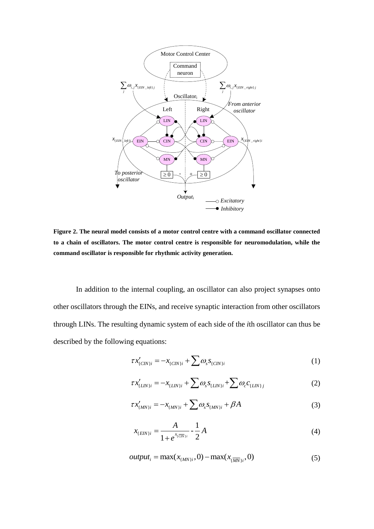

**Figure 2. The neural model consists of a motor control centre with a command oscillator connected to a chain of oscillators. The motor control centre is responsible for neuromodulation, while the command oscillator is responsible for rhythmic activity generation.**

In addition to the internal coupling, an oscillator can also project synapses onto other oscillators through the EINs, and receive synaptic interaction from other oscillators through LINs. The resulting dynamic system of each side of the *i*th oscillator can thus be described by the following equations:

$$
\tau x'_{(CIN)i} = -x_{(CIN)i} + \sum \omega_s s_{(CIN)i}
$$
 (1)

$$
\tau x'_{(CN)i} = -x_{(CN)i} + \sum \omega_s s_{(CN)i}
$$
\n
$$
\tau x'_{(LIN)i} = -x_{(LIN)i} + \sum \omega_s s_{(LIN)i} + \sum \omega_c c_{(LIN)j}
$$
\n(2)

$$
\tau x'_{(MN)i} = -x_{(MN)i} + \sum \omega_s s_{(MN)i} + \beta A \tag{3}
$$

$$
x_{(EIN)i} = \frac{A}{1 + e^{x_i \overline{CIN}i}} - \frac{1}{2}A
$$
 (4)

$$
output_i = \max(x_{\{MN\}i}, 0) - \max(x_{\overline{(MN)}i}, 0) \tag{5}
$$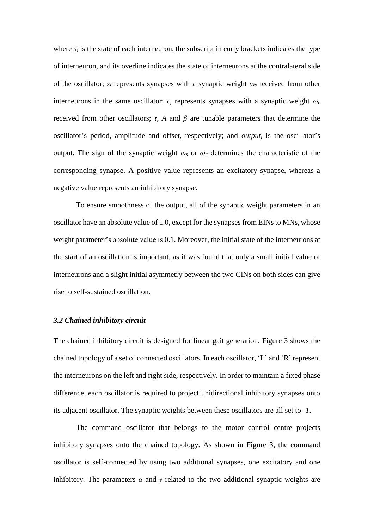where  $x_i$  is the state of each interneuron, the subscript in curly brackets indicates the type of interneuron, and its overline indicates the state of interneurons at the contralateral side of the oscillator; *s<sup>i</sup>* represents synapses with a synaptic weight *ω<sup>s</sup>* received from other interneurons in the same oscillator;  $c_i$  represents synapses with a synaptic weight  $\omega_c$ received from other oscillators; *τ*, *A* and *β* are tunable parameters that determine the oscillator's period, amplitude and offset, respectively; and *output<sup>i</sup>* is the oscillator's output. The sign of the synaptic weight  $\omega_s$  or  $\omega_c$  determines the characteristic of the corresponding synapse. A positive value represents an excitatory synapse, whereas a negative value represents an inhibitory synapse.

To ensure smoothness of the output, all of the synaptic weight parameters in an oscillator have an absolute value of 1.0, except for the synapses from EINs to MNs, whose weight parameter's absolute value is 0.1. Moreover, the initial state of the interneurons at the start of an oscillation is important, as it was found that only a small initial value of interneurons and a slight initial asymmetry between the two CINs on both sides can give rise to self-sustained oscillation.

## *3.2 Chained inhibitory circuit*

The chained inhibitory circuit is designed for linear gait generation. Figure 3 shows the chained topology of a set of connected oscillators. In each oscillator, 'L' and 'R' represent the interneurons on the left and right side, respectively. In order to maintain a fixed phase difference, each oscillator is required to project unidirectional inhibitory synapses onto its adjacent oscillator. The synaptic weights between these oscillators are all set to *-1*.

The command oscillator that belongs to the motor control centre projects inhibitory synapses onto the chained topology. As shown in Figure 3, the command oscillator is self-connected by using two additional synapses, one excitatory and one inhibitory. The parameters  $\alpha$  and  $\gamma$  related to the two additional synaptic weights are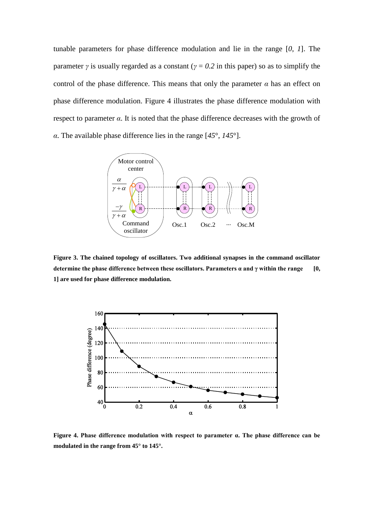tunable parameters for phase difference modulation and lie in the range [*0*, *1*]. The parameter *γ* is usually regarded as a constant ( $\gamma = 0.2$  in this paper) so as to simplify the control of the phase difference. This means that only the parameter  $\alpha$  has an effect on phase difference modulation. Figure 4 illustrates the phase difference modulation with respect to parameter *α*. It is noted that the phase difference decreases with the growth of *α*. The available phase difference lies in the range [*45*°, *145*°].



**Figure 3. The chained topology of oscillators. Two additional synapses in the command oscillator determine the phase difference between these oscillators. Parameters**  $\alpha$  **and**  $\gamma$  **within the range [0, 1] are used for phase difference modulation.**



**Figure 4. Phase difference modulation with respect to parameter α. The phase difference can be modulated in the range from 45° to 145°.**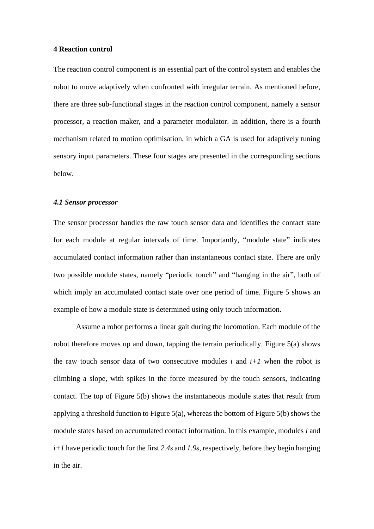## **4 Reaction control**

The reaction control component is an essential part of the control system and enables the robot to move adaptively when confronted with irregular terrain. As mentioned before, there are three sub-functional stages in the reaction control component, namely a sensor processor, a reaction maker, and a parameter modulator. In addition, there is a fourth mechanism related to motion optimisation, in which a GA is used for adaptively tuning sensory input parameters. These four stages are presented in the corresponding sections below.

## *4.1 Sensor processor*

The sensor processor handles the raw touch sensor data and identifies the contact state for each module at regular intervals of time. Importantly, "module state" indicates accumulated contact information rather than instantaneous contact state. There are only two possible module states, namely "periodic touch" and "hanging in the air", both of which imply an accumulated contact state over one period of time. Figure 5 shows an example of how a module state is determined using only touch information.

Assume a robot performs a linear gait during the locomotion. Each module of the robot therefore moves up and down, tapping the terrain periodically. Figure  $5(a)$  shows the raw touch sensor data of two consecutive modules  $i$  and  $i+1$  when the robot is climbing a slope, with spikes in the force measured by the touch sensors, indicating contact. The top of Figure 5(b) shows the instantaneous module states that result from applying a threshold function to Figure 5(a), whereas the bottom of Figure 5(b) shows the module states based on accumulated contact information. In this example, modules *i* and *i+1* have periodic touch for the first *2.4s* and *1.9s*, respectively, before they begin hanging in the air.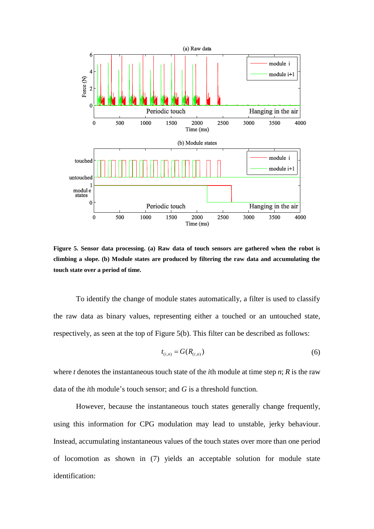

**Figure 5. Sensor data processing. (a) Raw data of touch sensors are gathered when the robot is climbing a slope. (b) Module states are produced by filtering the raw data and accumulating the touch state over a period of time.**

To identify the change of module states automatically, a filter is used to classify the raw data as binary values, representing either a touched or an untouched state, respectively, as seen at the top of Figure 5(b). This filter can be described as follows:

$$
t_{(i,n)} = G(R_{(i,n)})\tag{6}
$$

where *t* denotes the instantaneous touch state of the *i*th module at time step *n*; *R* is the raw data of the *i*th module's touch sensor; and *G* is a threshold function.

However, because the instantaneous touch states generally change frequently, using this information for CPG modulation may lead to unstable, jerky behaviour. Instead, accumulating instantaneous values of the touch states over more than one period of locomotion as shown in (7) yields an acceptable solution for module state identification: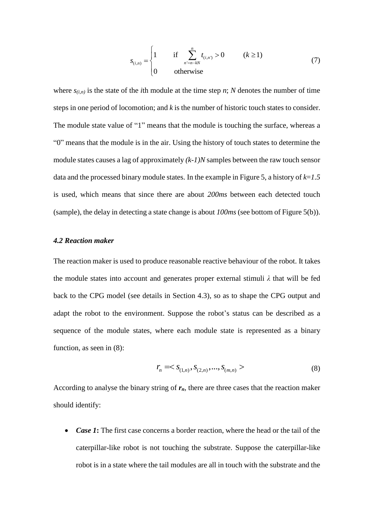$$
s_{(i,n)} = \begin{cases} 1 & \text{if } \sum_{n'=n-kN}^{n} t_{(i,n)} > 0 & (k \ge 1) \\ 0 & \text{otherwise} \end{cases}
$$
(7)

where  $s_{(i,n)}$  is the state of the *i*th module at the time step *n*; *N* denotes the number of time steps in one period of locomotion; and *k* is the number of historic touch states to consider. The module state value of "1" means that the module is touching the surface, whereas a "0" means that the module is in the air. Using the history of touch states to determine the module states causes a lag of approximately *(k-1)N* samples between the raw touch sensor data and the processed binary module states. In the example in Figure 5, a history of *k*=*1.5* is used, which means that since there are about *200ms* between each detected touch (sample), the delay in detecting a state change is about *100ms* (see bottom of Figure 5(b)).

## *4.2 Reaction maker*

The reaction maker is used to produce reasonable reactive behaviour of the robot. It takes the module states into account and generates proper external stimuli *λ* that will be fed back to the CPG model (see details in Section 4.3), so as to shape the CPG output and adapt the robot to the environment. Suppose the robot's status can be described as a sequence of the module states, where each module state is represented as a binary function, as seen in (8):

$$
r_n =
$$
\n(8)

According to analyse the binary string of *rn*, there are three cases that the reaction maker should identify:

• *Case 1*: The first case concerns a border reaction, where the head or the tail of the caterpillar-like robot is not touching the substrate. Suppose the caterpillar-like robot is in a state where the tail modules are all in touch with the substrate and the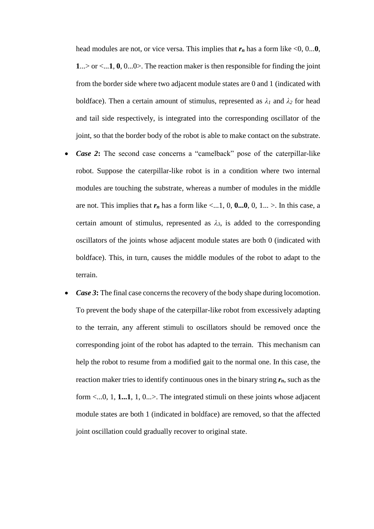head modules are not, or vice versa. This implies that  $r_n$  has a form like  $\leq 0, 0...0$ , **1**...> or <...**1**, **0**, 0...0>. The reaction maker is then responsible for finding the joint from the border side where two adjacent module states are 0 and 1 (indicated with boldface). Then a certain amount of stimulus, represented as  $\lambda_1$  and  $\lambda_2$  for head and tail side respectively, is integrated into the corresponding oscillator of the joint, so that the border body of the robot is able to make contact on the substrate.

- *Case 2***:** The second case concerns a "camelback" pose of the caterpillar-like robot. Suppose the caterpillar-like robot is in a condition where two internal modules are touching the substrate, whereas a number of modules in the middle are not. This implies that  $r_n$  has a form like <...1, 0, **0...0**, 0, 1... >. In this case, a certain amount of stimulus, represented as  $\lambda_3$ , is added to the corresponding oscillators of the joints whose adjacent module states are both 0 (indicated with boldface). This, in turn, causes the middle modules of the robot to adapt to the terrain.
- *Case 3*: The final case concerns the recovery of the body shape during locomotion. To prevent the body shape of the caterpillar-like robot from excessively adapting to the terrain, any afferent stimuli to oscillators should be removed once the corresponding joint of the robot has adapted to the terrain. This mechanism can help the robot to resume from a modified gait to the normal one. In this case, the reaction maker tries to identify continuous ones in the binary string *rn*, such as the form <...0, 1, **1...1**, 1, 0...>. The integrated stimuli on these joints whose adjacent module states are both 1 (indicated in boldface) are removed, so that the affected joint oscillation could gradually recover to original state.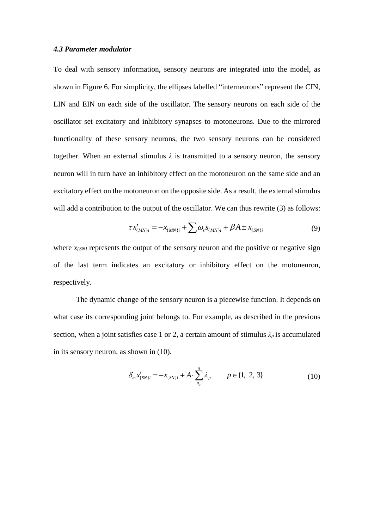## *4.3 Parameter modulator*

To deal with sensory information, sensory neurons are integrated into the model, as shown in Figure 6. For simplicity, the ellipses labelled "interneurons" represent the CIN, LIN and EIN on each side of the oscillator. The sensory neurons on each side of the oscillator set excitatory and inhibitory synapses to motoneurons. Due to the mirrored functionality of these sensory neurons, the two sensory neurons can be considered together. When an external stimulus  $\lambda$  is transmitted to a sensory neuron, the sensory neuron will in turn have an inhibitory effect on the motoneuron on the same side and an excitatory effect on the motoneuron on the opposite side. As a result, the external stimulus will add a contribution to the output of the oscillator. We can thus rewrite (3) as follows:

$$
\tau x'_{(MN)i} = -x_{(MN)i} + \sum \omega_s s_{(MN)i} + \beta A \pm x_{(SN)i}
$$
(9)

where  $x_{\ell SN\ell}$  represents the output of the sensory neuron and the positive or negative sign of the last term indicates an excitatory or inhibitory effect on the motoneuron, respectively.

The dynamic change of the sensory neuron is a piecewise function. It depends on what case its corresponding joint belongs to. For example, as described in the previous section, when a joint satisfies case 1 or 2, a certain amount of stimulus  $\lambda_p$  is accumulated in its sensory neuron, as shown in (10).

$$
\delta_m x'_{\{SN\}i} = -x_{\{SN\}i} + A \cdot \sum_{n_0}^{n} \lambda_p \qquad p \in \{1, 2, 3\}
$$
 (10)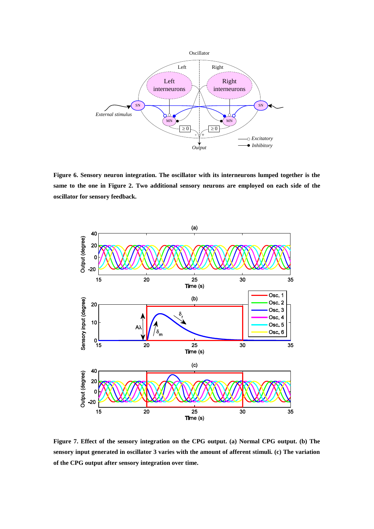

**Figure 6. Sensory neuron integration. The oscillator with its interneurons lumped together is the same to the one in Figure 2. Two additional sensory neurons are employed on each side of the oscillator for sensory feedback.**



**Figure 7. Effect of the sensory integration on the CPG output. (a) Normal CPG output. (b) The sensory input generated in oscillator 3 varies with the amount of afferent stimuli. (c) The variation of the CPG output after sensory integration over time.**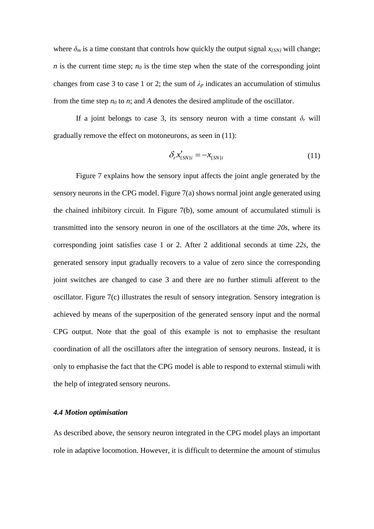where  $\delta_m$  is a time constant that controls how quickly the output signal  $x_{\text{fSN}}$  will change; *n* is the current time step;  $n_0$  is the time step when the state of the corresponding joint changes from case 3 to case 1 or 2; the sum of  $\lambda_p$  indicates an accumulation of stimulus from the time step  $n_0$  to  $n$ ; and  $A$  denotes the desired amplitude of the oscillator.

If a joint belongs to case 3, its sensory neuron with a time constant  $\delta_r$  will gradually remove the effect on motoneurons, as seen in (11):

$$
\delta_r x'_{\{SN\}i} = -x_{\{SN\}i} \tag{11}
$$

Figure 7 explains how the sensory input affects the joint angle generated by the sensory neurons in the CPG model. Figure 7(a) shows normal joint angle generated using the chained inhibitory circuit. In Figure 7(b), some amount of accumulated stimuli is transmitted into the sensory neuron in one of the oscillators at the time *20s*, where its corresponding joint satisfies case 1 or 2. After 2 additional seconds at time *22s*, the generated sensory input gradually recovers to a value of zero since the corresponding joint switches are changed to case 3 and there are no further stimuli afferent to the oscillator. Figure 7(c) illustrates the result of sensory integration. Sensory integration is achieved by means of the superposition of the generated sensory input and the normal CPG output. Note that the goal of this example is not to emphasise the resultant coordination of all the oscillators after the integration of sensory neurons. Instead, it is only to emphasise the fact that the CPG model is able to respond to external stimuli with the help of integrated sensory neurons.

## *4.4 Motion optimisation*

As described above, the sensory neuron integrated in the CPG model plays an important role in adaptive locomotion. However, it is difficult to determine the amount of stimulus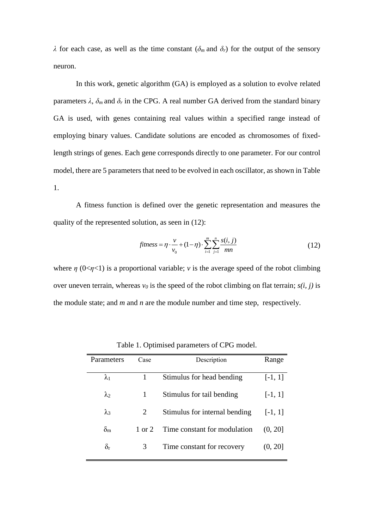*λ* for each case, as well as the time constant ( $\delta$ *m* and  $\delta$ *r*) for the output of the sensory neuron.

In this work, genetic algorithm (GA) is employed as a solution to evolve related parameters  $\lambda$ ,  $\delta_m$  and  $\delta_r$  in the CPG. A real number GA derived from the standard binary GA is used, with genes containing real values within a specified range instead of employing binary values. Candidate solutions are encoded as chromosomes of fixedlength strings of genes. Each gene corresponds directly to one parameter. For our control model, there are 5 parameters that need to be evolved in each oscillator, as shown in Table 1.

A fitness function is defined over the genetic representation and measures the quality of the represented solution, as seen in (12):

$$
fitness = \eta \cdot \frac{v}{v_0} + (1 - \eta) \cdot \sum_{i=1}^{m} \sum_{j=1}^{n} \frac{s(i, j)}{mn}
$$
 (12)

where  $\eta$  (0< $\eta$ <1) is a proportional variable; *v* is the average speed of the robot climbing over uneven terrain, whereas  $v_0$  is the speed of the robot climbing on flat terrain;  $s(i, j)$  is the module state; and *m* and *n* are the module number and time step, respectively.

| Parameters       | Case              | Description                   | Range     |
|------------------|-------------------|-------------------------------|-----------|
| $\lambda_1$      |                   | Stimulus for head bending     | $[-1, 1]$ |
| $\lambda_2$      | 1                 | Stimulus for tail bending     | $[-1, 1]$ |
| $\lambda_3$      | 2                 | Stimulus for internal bending | $[-1, 1]$ |
| $\delta_{\rm m}$ | $1 \text{ or } 2$ | Time constant for modulation  | (0, 20]   |
| $\delta_{\rm r}$ | 3                 | Time constant for recovery    | (0, 20]   |
|                  |                   |                               |           |

Table 1. Optimised parameters of CPG model.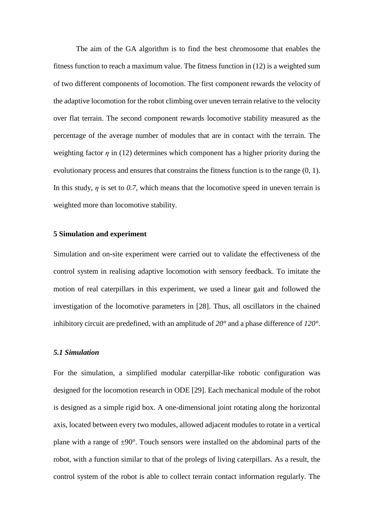The aim of the GA algorithm is to find the best chromosome that enables the fitness function to reach a maximum value. The fitness function in (12) is a weighted sum of two different components of locomotion. The first component rewards the velocity of the adaptive locomotion for the robot climbing over uneven terrain relative to the velocity over flat terrain. The second component rewards locomotive stability measured as the percentage of the average number of modules that are in contact with the terrain. The weighting factor  $\eta$  in (12) determines which component has a higher priority during the evolutionary process and ensures that constrains the fitness function is to the range (0, 1). In this study,  $\eta$  is set to 0.7, which means that the locomotive speed in uneven terrain is weighted more than locomotive stability.

#### **5 Simulation and experiment**

Simulation and on-site experiment were carried out to validate the effectiveness of the control system in realising adaptive locomotion with sensory feedback. To imitate the motion of real caterpillars in this experiment, we used a linear gait and followed the investigation of the locomotive parameters in [28]. Thus, all oscillators in the chained inhibitory circuit are predefined, with an amplitude of *20°* and a phase difference of *120°*.

## *5.1 Simulation*

For the simulation, a simplified modular caterpillar-like robotic configuration was designed for the locomotion research in ODE [29]. Each mechanical module of the robot is designed as a simple rigid box. A one-dimensional joint rotating along the horizontal axis, located between every two modules, allowed adjacent modules to rotate in a vertical plane with a range of  $\pm 90^\circ$ . Touch sensors were installed on the abdominal parts of the robot, with a function similar to that of the prolegs of living caterpillars. As a result, the control system of the robot is able to collect terrain contact information regularly. The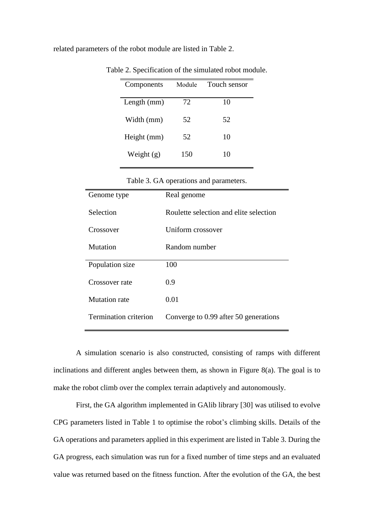related parameters of the robot module are listed in Table 2.

| Components   | Module | Touch sensor |
|--------------|--------|--------------|
| Length (mm)  | 72     | 10           |
| Width (mm)   | 52     | 52           |
| Height (mm)  | 52     | 10           |
| Weight $(g)$ | 150    | 10           |

Table 2. Specification of the simulated robot module.

| Table 3. GA operations and parameters. |  |  |  |
|----------------------------------------|--|--|--|
|----------------------------------------|--|--|--|

| Genome type                  | Real genome                            |
|------------------------------|----------------------------------------|
| Selection                    | Roulette selection and elite selection |
| Crossover                    | Uniform crossover                      |
| Mutation                     | Random number                          |
| Population size              | 100                                    |
| Crossover rate               | 0.9                                    |
| <b>Mutation</b> rate         | 0.01                                   |
| <b>Termination criterion</b> | Converge to 0.99 after 50 generations  |

A simulation scenario is also constructed, consisting of ramps with different inclinations and different angles between them, as shown in Figure 8(a). The goal is to make the robot climb over the complex terrain adaptively and autonomously.

First, the GA algorithm implemented in GAlib library [30] was utilised to evolve CPG parameters listed in Table 1 to optimise the robot's climbing skills. Details of the GA operations and parameters applied in this experiment are listed in Table 3. During the GA progress, each simulation was run for a fixed number of time steps and an evaluated value was returned based on the fitness function. After the evolution of the GA, the best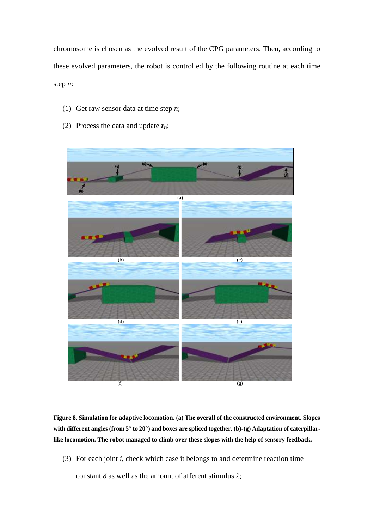chromosome is chosen as the evolved result of the CPG parameters. Then, according to these evolved parameters, the robot is controlled by the following routine at each time step *n*:

- (1) Get raw sensor data at time step *n*;
- (2) Process the data and update *rn*;



**Figure 8. Simulation for adaptive locomotion. (a) The overall of the constructed environment. Slopes with different angles (from 5° to 20°) and boxes are spliced together. (b)-(g) Adaptation of caterpillarlike locomotion. The robot managed to climb over these slopes with the help of sensory feedback.**

(3) For each joint *i*, check which case it belongs to and determine reaction time

constant *δ* as well as the amount of afferent stimulus *λ*;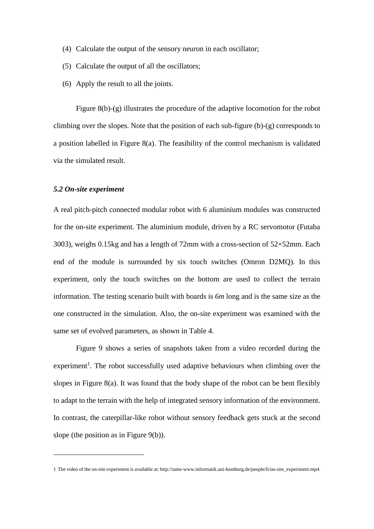- (4) Calculate the output of the sensory neuron in each oscillator;
- (5) Calculate the output of all the oscillators;
- (6) Apply the result to all the joints.

Figure 8(b)-(g) illustrates the procedure of the adaptive locomotion for the robot climbing over the slopes. Note that the position of each sub-figure (b)-(g) corresponds to a position labelled in Figure 8(a). The feasibility of the control mechanism is validated via the simulated result.

#### *5.2 On-site experiment*

<u>.</u>

A real pitch-pitch connected modular robot with 6 aluminium modules was constructed for the on-site experiment. The aluminium module, driven by a RC servomotor (Futaba 3003), weighs 0.15kg and has a length of 72mm with a cross-section of 52×52mm. Each end of the module is surrounded by six touch switches (Omron D2MQ). In this experiment, only the touch switches on the bottom are used to collect the terrain information. The testing scenario built with boards is *6m* long and is the same size as the one constructed in the simulation. Also, the on-site experiment was examined with the same set of evolved parameters, as shown in Table 4.

Figure 9 shows a series of snapshots taken from a video recorded during the experiment<sup>1</sup>. The robot successfully used adaptive behaviours when climbing over the slopes in Figure 8(a). It was found that the body shape of the robot can be bent flexibly to adapt to the terrain with the help of integrated sensory information of the environment. In contrast, the caterpillar-like robot without sensory feedback gets stuck at the second slope (the position as in Figure 9(b)).

<sup>1</sup> The video of the on-site experiment is available at: [http://tams-www.informatik.uni-hamburg.de/people/li/on-site\\_experiment.mp4.](http://tams-www.informatik.uni-hamburg.de/people/li/on-site_experiment.mp4)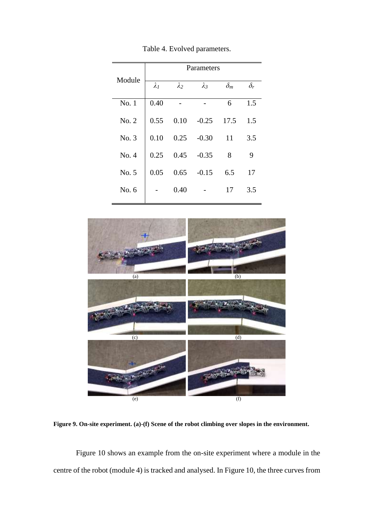|        | Parameters  |             |             |            |            |
|--------|-------------|-------------|-------------|------------|------------|
| Module | $\lambda_1$ | $\lambda_2$ | $\lambda_3$ | $\delta_m$ | $\delta_r$ |
| No.1   | 0.40        |             |             | 6          | 1.5        |
| No. 2  | 0.55        | 0.10        | $-0.25$     | 17.5       | 1.5        |
| No. 3  | 0.10        | 0.25        | $-0.30$     | 11         | 3.5        |
| No. 4  | 0.25        | 0.45        | $-0.35$     | 8          | 9          |
| No. 5  | 0.05        | 0.65        | $-0.15$     | 6.5        | 17         |
| No. 6  |             | 0.40        |             | 17         | 3.5        |

Table 4. Evolved parameters.



**Figure 9. On-site experiment. (a)-(f) Scene of the robot climbing over slopes in the environment.**

Figure 10 shows an example from the on-site experiment where a module in the centre of the robot (module 4) is tracked and analysed. In Figure 10, the three curves from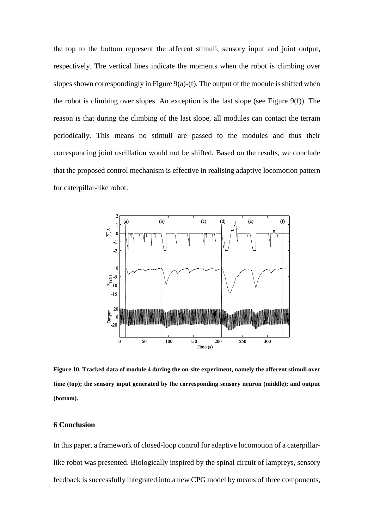the top to the bottom represent the afferent stimuli, sensory input and joint output, respectively. The vertical lines indicate the moments when the robot is climbing over slopes shown correspondingly in Figure  $9(a)-(f)$ . The output of the module is shifted when the robot is climbing over slopes. An exception is the last slope (see Figure 9(f)). The reason is that during the climbing of the last slope, all modules can contact the terrain periodically. This means no stimuli are passed to the modules and thus their corresponding joint oscillation would not be shifted. Based on the results, we conclude that the proposed control mechanism is effective in realising adaptive locomotion pattern for caterpillar-like robot.



**Figure 10. Tracked data of module 4 during the on-site experiment, namely the afferent stimuli over time (top); the sensory input generated by the corresponding sensory neuron (middle); and output (bottom).**

## **6 Conclusion**

In this paper, a framework of closed-loop control for adaptive locomotion of a caterpillarlike robot was presented. Biologically inspired by the spinal circuit of lampreys, sensory feedback is successfully integrated into a new CPG model by means of three components,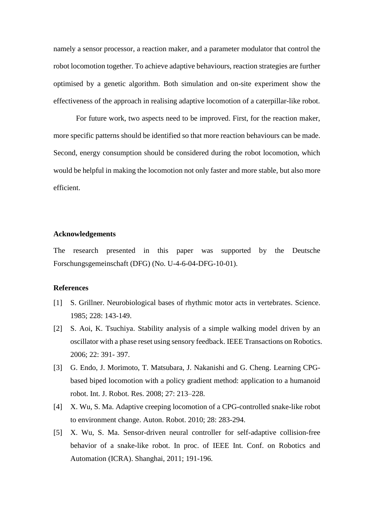namely a sensor processor, a reaction maker, and a parameter modulator that control the robot locomotion together. To achieve adaptive behaviours, reaction strategies are further optimised by a genetic algorithm. Both simulation and on-site experiment show the effectiveness of the approach in realising adaptive locomotion of a caterpillar-like robot.

For future work, two aspects need to be improved. First, for the reaction maker, more specific patterns should be identified so that more reaction behaviours can be made. Second, energy consumption should be considered during the robot locomotion, which would be helpful in making the locomotion not only faster and more stable, but also more efficient.

## **Acknowledgements**

The research presented in this paper was supported by the Deutsche Forschungsgemeinschaft (DFG) (No. U-4-6-04-DFG-10-01).

## **References**

- [1] S. Grillner. Neurobiological bases of rhythmic motor acts in vertebrates. Science. 1985; 228: 143-149.
- [2] S. Aoi, K. Tsuchiya. Stability analysis of a simple walking model driven by an oscillator with a phase reset using sensory feedback. IEEE Transactions on Robotics. 2006; 22: 391- 397.
- [3] G. Endo, J. Morimoto, T. Matsubara, J. Nakanishi and G. Cheng. Learning CPGbased biped locomotion with a policy gradient method: application to a humanoid robot. Int. J. Robot. Res. 2008; 27: 213–228.
- [4] X. Wu, S. Ma. Adaptive creeping locomotion of a CPG-controlled snake-like robot to environment change. Auton. Robot. 2010; 28: 283-294.
- [5] X. Wu, S. Ma. Sensor-driven neural controller for self-adaptive collision-free behavior of a snake-like robot. In proc. of IEEE Int. Conf. on Robotics and Automation (ICRA). Shanghai, 2011; 191-196.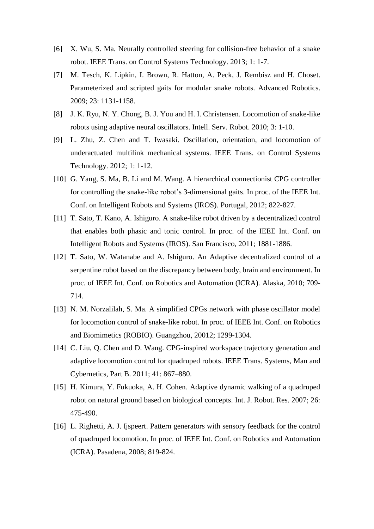- [6] X. Wu, S. Ma. Neurally controlled steering for collision-free behavior of a snake robot. IEEE Trans. on Control Systems Technology. 2013; 1: 1-7.
- [7] M. Tesch, K. Lipkin, I. Brown, R. Hatton, A. Peck, J. Rembisz and H. Choset. Parameterized and scripted gaits for modular snake robots. Advanced Robotics. 2009; 23: 1131-1158.
- [8] J. K. Ryu, N. Y. Chong, B. J. You and H. I. Christensen. Locomotion of snake-like robots using adaptive neural oscillators. Intell. Serv. Robot. 2010; 3: 1-10.
- [9] L. Zhu, Z. Chen and T. Iwasaki. Oscillation, orientation, and locomotion of underactuated multilink mechanical systems. IEEE Trans. on Control Systems Technology. 2012; 1: 1-12.
- [10] G. Yang, S. Ma, B. Li and M. Wang. A hierarchical connectionist CPG controller for controlling the snake-like robot's 3-dimensional gaits. In proc. of the IEEE Int. Conf. on Intelligent Robots and Systems (IROS). Portugal, 2012; 822-827.
- [11] T. Sato, T. Kano, A. Ishiguro. A snake-like robot driven by a decentralized control that enables both phasic and tonic control. In proc. of the IEEE Int. Conf. on Intelligent Robots and Systems (IROS). San Francisco, 2011; 1881-1886.
- [12] T. Sato, W. Watanabe and A. Ishiguro. An Adaptive decentralized control of a serpentine robot based on the discrepancy between body, brain and environment. In proc. of IEEE Int. Conf. on Robotics and Automation (ICRA). Alaska, 2010; 709- 714.
- [13] N. M. Norzalilah, S. Ma. A simplified CPGs network with phase oscillator model for locomotion control of snake-like robot. In proc. of IEEE Int. Conf. on Robotics and Biomimetics (ROBIO). Guangzhou, 20012; 1299-1304.
- [14] C. Liu, Q. Chen and D. Wang. CPG-inspired workspace trajectory generation and adaptive locomotion control for quadruped robots. IEEE Trans. Systems, Man and Cybernetics, Part B. 2011; 41: 867–880.
- [15] H. Kimura, Y. Fukuoka, A. H. Cohen. Adaptive dynamic walking of a quadruped robot on natural ground based on biological concepts. Int. J. Robot. Res. 2007; 26: 475-490.
- [16] L. Righetti, A. J. Ijspeert. Pattern generators with sensory feedback for the control of quadruped locomotion. In proc. of IEEE Int. Conf. on Robotics and Automation (ICRA). Pasadena, 2008; 819-824.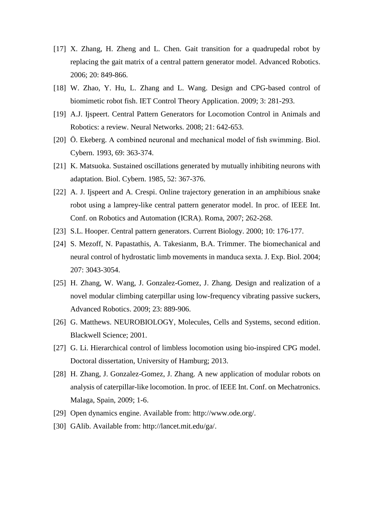- [17] X. Zhang, H. Zheng and L. Chen. Gait transition for a quadrupedal robot by replacing the gait matrix of a central pattern generator model. Advanced Robotics. 2006; 20: 849-866.
- [18] W. Zhao, Y. Hu, L. Zhang and L. Wang. Design and CPG-based control of biomimetic robot fish. IET Control Theory Application. 2009; 3: 281-293.
- [19] A.J. Ijspeert. Central Pattern Generators for Locomotion Control in Animals and Robotics: a review. Neural Networks. 2008; 21: 642-653.
- [20] Ö. Ekeberg. A combined neuronal and mechanical model of fish swimming. Biol. Cybern. 1993, 69: 363-374.
- [21] K. Matsuoka. Sustained oscillations generated by mutually inhibiting neurons with adaptation. Biol. Cybern. 1985, 52: 367-376.
- [22] A. J. Ijspeert and A. Crespi. Online trajectory generation in an amphibious snake robot using a lamprey-like central pattern generator model. In proc. of IEEE Int. Conf. on Robotics and Automation (ICRA). Roma, 2007; 262-268.
- [23] S.L. Hooper. Central pattern generators. Current Biology. 2000; 10: 176-177.
- [24] S. Mezoff, N. Papastathis, A. Takesianm, B.A. Trimmer. The biomechanical and neural control of hydrostatic limb movements in manduca sexta. J. Exp. Biol. 2004; 207: 3043-3054.
- [25] H. Zhang, W. Wang, J. Gonzalez-Gomez, J. Zhang. Design and realization of a novel modular climbing caterpillar using low-frequency vibrating passive suckers, Advanced Robotics. 2009; 23: 889-906.
- [26] G. Matthews. NEUROBIOLOGY, Molecules, Cells and Systems, second edition. Blackwell Science; 2001.
- [27] G. Li. Hierarchical control of limbless locomotion using bio-inspired CPG model. Doctoral dissertation, University of Hamburg; 2013.
- [28] H. Zhang, J. Gonzalez-Gomez, J. Zhang. A new application of modular robots on analysis of caterpillar-like locomotion. In proc. of IEEE Int. Conf. on Mechatronics. Malaga, Spain, 2009; 1-6.
- [29] Open dynamics engine. Available from: [http://www.ode.org/.](http://www.ode.org/)
- [30] GAlib. Available from: http://lancet.mit.edu/ga/.